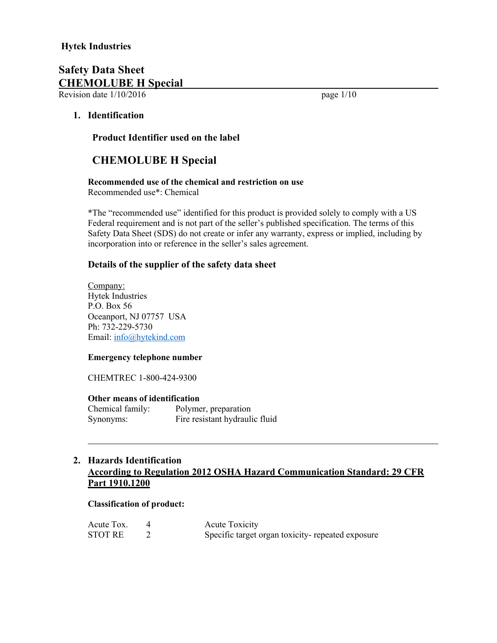Revision date  $1/10/2016$  page  $1/10$ 

# **1. Identification**

 **Product Identifier used on the label**

# **CHEMOLUBE H Special**

# **Recommended use of the chemical and restriction on use**

Recommended use\*: Chemical

\*The "recommended use" identified for this product is provided solely to comply with a US Federal requirement and is not part of the seller's published specification. The terms of this Safety Data Sheet (SDS) do not create or infer any warranty, express or implied, including by incorporation into or reference in the seller's sales agreement.

# **Details of the supplier of the safety data sheet**

Company: Hytek Industries P.O. Box 56 Oceanport, NJ 07757 USA Ph: 732-229-5730 Email: info@hytekind.com

### **Emergency telephone number**

CHEMTREC 1-800-424-9300

#### **Other means of identification**

Chemical family: Polymer, preparation Synonyms: Fire resistant hydraulic fluid

# **2. Hazards Identification According to Regulation 2012 OSHA Hazard Communication Standard: 29 CFR Part 1910.1200**

#### **Classification of product:**

| Acute Tox.     | Acute Toxicity                                   |
|----------------|--------------------------------------------------|
| <b>STOT RE</b> | Specific target organ toxicity-repeated exposure |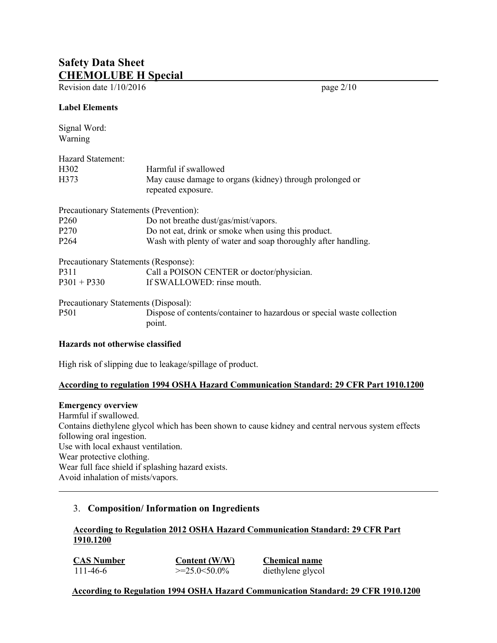Revision date  $1/10/2016$  page  $2/10$ 

### **Label Elements**

Signal Word: Warning

| Hazard Statement:                      |                                                                                                        |  |  |
|----------------------------------------|--------------------------------------------------------------------------------------------------------|--|--|
| H302                                   | Harmful if swallowed<br>May cause damage to organs (kidney) through prolonged or<br>repeated exposure. |  |  |
| H373                                   |                                                                                                        |  |  |
| Precautionary Statements (Prevention): |                                                                                                        |  |  |
| P <sub>260</sub>                       | Do not breathe dust/gas/mist/vapors.                                                                   |  |  |
| P <sub>270</sub>                       | Do not eat, drink or smoke when using this product.                                                    |  |  |
| P <sub>264</sub>                       | Wash with plenty of water and soap thoroughly after handling.                                          |  |  |
| Precautionary Statements (Response):   |                                                                                                        |  |  |
| P311                                   | Call a POISON CENTER or doctor/physician.                                                              |  |  |
| $P301 + P330$                          | If SWALLOWED: rinse mouth.                                                                             |  |  |

Precautionary Statements (Disposal):

P501 Dispose of contents/container to hazardous or special waste collection point.

### **Hazards not otherwise classified**

High risk of slipping due to leakage/spillage of product.

# **According to regulation 1994 OSHA Hazard Communication Standard: 29 CFR Part 1910.1200**

#### **Emergency overview**

Harmful if swallowed. Contains diethylene glycol which has been shown to cause kidney and central nervous system effects following oral ingestion. Use with local exhaust ventilation. Wear protective clothing. Wear full face shield if splashing hazard exists. Avoid inhalation of mists/vapors.

# 3. **Composition/ Information on Ingredients**

# **According to Regulation 2012 OSHA Hazard Communication Standard: 29 CFR Part 1910.1200**

**CAS Number Content (W/W) Chemical name** 111-46-6 >=25.0<50.0% diethylene glycol

# **According to Regulation 1994 OSHA Hazard Communication Standard: 29 CFR 1910.1200**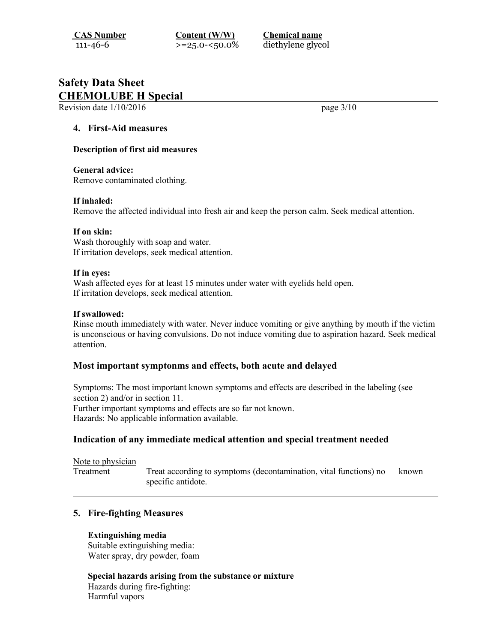**CAS Number Content (W/W) Chemical name**

111-46-6 >=25.0-<50.0% diethylene glycol

# **Safety Data Sheet CHEMOLUBE H Special**

Revision date  $1/10/2016$  page  $3/10$ 

### **4. First-Aid measures**

#### **Description of first aid measures**

#### **General advice:**

Remove contaminated clothing.

#### **If inhaled:**

Remove the affected individual into fresh air and keep the person calm. Seek medical attention.

#### **If on skin:**

Wash thoroughly with soap and water. If irritation develops, seek medical attention.

#### **If in eyes:**

Wash affected eyes for at least 15 minutes under water with eyelids held open. If irritation develops, seek medical attention.

#### **If swallowed:**

Rinse mouth immediately with water. Never induce vomiting or give anything by mouth if the victim is unconscious or having convulsions. Do not induce vomiting due to aspiration hazard. Seek medical attention.

#### **Most important symptonms and effects, both acute and delayed**

Symptoms: The most important known symptoms and effects are described in the labeling (see section 2) and/or in section 11. Further important symptoms and effects are so far not known. Hazards: No applicable information available.

# **Indication of any immediate medical attention and special treatment needed**

| Note to physician |                                                                                         |       |
|-------------------|-----------------------------------------------------------------------------------------|-------|
| Treatment         | Treat according to symptoms (decontamination, vital functions) no<br>specific antidote. | known |

# **5. Fire-fighting Measures**

### **Extinguishing media**

Suitable extinguishing media: Water spray, dry powder, foam

**Special hazards arising from the substance or mixture** Hazards during fire-fighting: Harmful vapors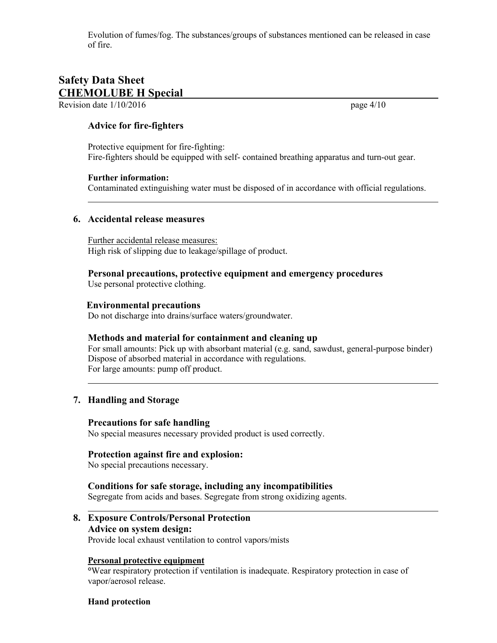Evolution of fumes/fog. The substances/groups of substances mentioned can be released in case of fire.

# **Safety Data Sheet CHEMOLUBE H Special**

Revision date  $1/10/2016$  page  $4/10$ 

### **Advice for fire-fighters**

Protective equipment for fire-fighting: Fire-fighters should be equipped with self- contained breathing apparatus and turn-out gear.

#### **Further information:**

Contaminated extinguishing water must be disposed of in accordance with official regulations.

#### **6. Accidental release measures**

Further accidental release measures: High risk of slipping due to leakage/spillage of product.

# **Personal precautions, protective equipment and emergency procedures**

Use personal protective clothing.

### **Environmental precautions**

Do not discharge into drains/surface waters/groundwater.

#### **Methods and material for containment and cleaning up**

For small amounts: Pick up with absorbant material (e.g. sand, sawdust, general-purpose binder) Dispose of absorbed material in accordance with regulations. For large amounts: pump off product.

# **7. Handling and Storage**

#### **Precautions for safe handling**

No special measures necessary provided product is used correctly.

#### **Protection against fire and explosion:**

No special precautions necessary.

#### **Conditions for safe storage, including any incompatibilities**

Segregate from acids and bases. Segregate from strong oxidizing agents.

# **8. Exposure Controls/Personal Protection Advice on system design:**

Provide local exhaust ventilation to control vapors/mists

#### **Personal protective equipment**

**°**Wear respiratory protection if ventilation is inadequate. Respiratory protection in case of vapor/aerosol release.

#### **Hand protection**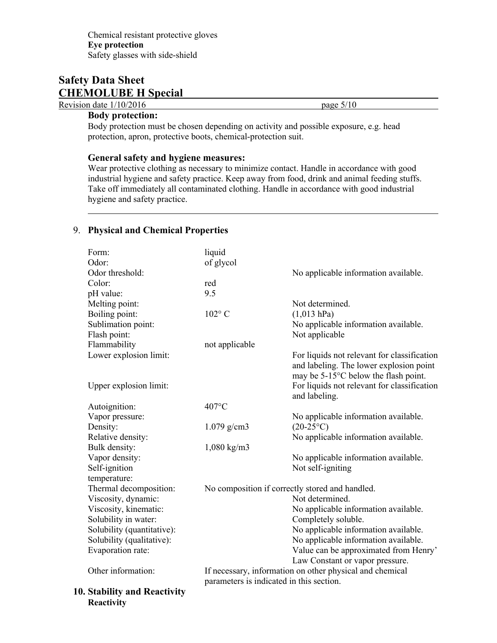Revision date  $1/10/2016$  page  $5/10$ 

## **Body protection:**

Body protection must be chosen depending on activity and possible exposure, e.g. head protection, apron, protective boots, chemical-protection suit.

### **General safety and hygiene measures:**

Wear protective clothing as necessary to minimize contact. Handle in accordance with good industrial hygiene and safety practice. Keep away from food, drink and animal feeding stuffs. Take off immediately all contaminated clothing. Handle in accordance with good industrial hygiene and safety practice.

# 9. **Physical and Chemical Properties**

| Form:                        | liquid                                          |                                                          |
|------------------------------|-------------------------------------------------|----------------------------------------------------------|
| Odor:                        | of glycol                                       |                                                          |
| Odor threshold:              |                                                 | No applicable information available.                     |
| Color:                       | red                                             |                                                          |
| pH value:                    | 9.5                                             |                                                          |
| Melting point:               |                                                 | Not determined.                                          |
| Boiling point:               | $102^{\circ}$ C                                 | $(1,013$ hPa)                                            |
| Sublimation point:           |                                                 | No applicable information available.                     |
| Flash point:                 |                                                 | Not applicable                                           |
| Flammability                 | not applicable                                  |                                                          |
| Lower explosion limit:       |                                                 | For liquids not relevant for classification              |
|                              |                                                 | and labeling. The lower explosion point                  |
|                              |                                                 | may be 5-15°C below the flash point.                     |
| Upper explosion limit:       |                                                 | For liquids not relevant for classification              |
|                              |                                                 | and labeling.                                            |
| Autoignition:                | 407°C                                           |                                                          |
| Vapor pressure:              |                                                 | No applicable information available.                     |
| Density:                     | $1.079$ g/cm3                                   | $(20-25\degree C)$                                       |
| Relative density:            |                                                 | No applicable information available.                     |
| Bulk density:                | $1,080 \text{ kg/m}3$                           |                                                          |
| Vapor density:               |                                                 | No applicable information available.                     |
| Self-ignition                |                                                 | Not self-igniting                                        |
| temperature:                 |                                                 |                                                          |
| Thermal decomposition:       | No composition if correctly stored and handled. |                                                          |
| Viscosity, dynamic:          |                                                 | Not determined.                                          |
| Viscosity, kinematic:        |                                                 | No applicable information available.                     |
| Solubility in water:         |                                                 | Completely soluble.                                      |
| Solubility (quantitative):   |                                                 | No applicable information available.                     |
| Solubility (qualitative):    |                                                 | No applicable information available.                     |
| Evaporation rate:            |                                                 | Value can be approximated from Henry'                    |
|                              |                                                 | Law Constant or vapor pressure.                          |
| Other information:           |                                                 | If necessary, information on other physical and chemical |
|                              | parameters is indicated in this section.        |                                                          |
| 10. Stability and Reactivity |                                                 |                                                          |
| Reactivity                   |                                                 |                                                          |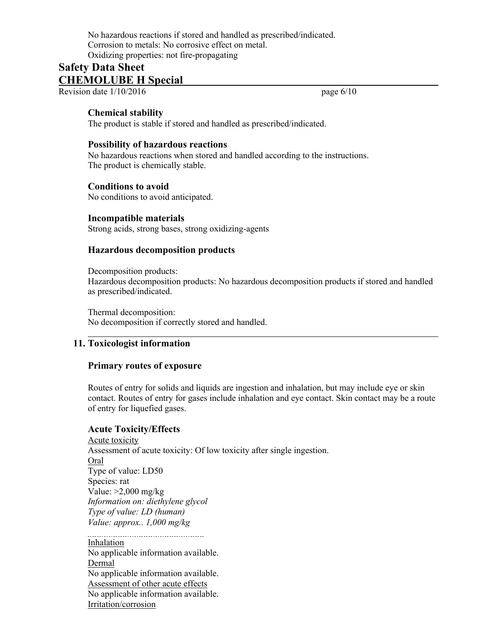No hazardous reactions if stored and handled as prescribed/indicated. Corrosion to metals: No corrosive effect on metal. Oxidizing properties: not fire-propagating

# **Safety Data Sheet CHEMOLUBE H Special**

Revision date  $1/10/2016$  page  $6/10$ 

## **Chemical stability**

The product is stable if stored and handled as prescribed/indicated.

### **Possibility of hazardous reactions**

No hazardous reactions when stored and handled according to the instructions. The product is chemically stable.

### **Conditions to avoid**

No conditions to avoid anticipated.

#### **Incompatible materials**

Strong acids, strong bases, strong oxidizing-agents

# **Hazardous decomposition products**

Decomposition products:

Hazardous decomposition products: No hazardous decomposition products if stored and handled as prescribed/indicated.

Thermal decomposition: No decomposition if correctly stored and handled.

# **11. Toxicologist information**

#### **Primary routes of exposure**

Routes of entry for solids and liquids are ingestion and inhalation, but may include eye or skin contact. Routes of entry for gases include inhalation and eye contact. Skin contact may be a route of entry for liquefied gases.

#### **Acute Toxicity/Effects**

Acute toxicity Assessment of acute toxicity: Of low toxicity after single ingestion. Oral Type of value: LD50 Species: rat Value: >2,000 mg/kg *Information on: diethylene glycol Type of value: LD (human) Value: approx.. 1,000 mg/kg* 

Inhalation No applicable information available. Dermal No applicable information available. Assessment of other acute effects No applicable information available. Irritation/corrosion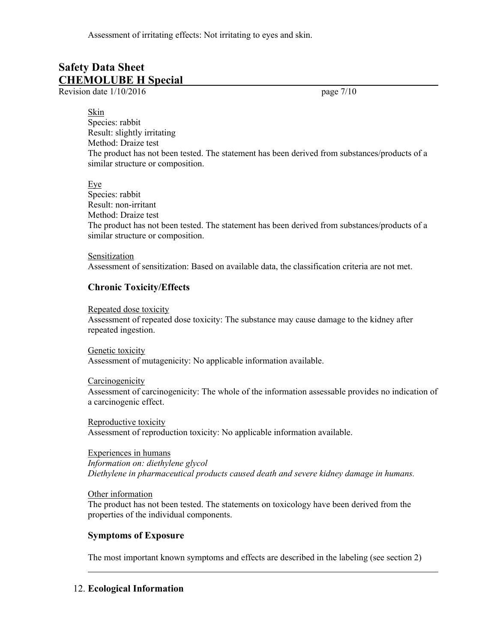Assessment of irritating effects: Not irritating to eyes and skin.

# **Safety Data Sheet CHEMOLUBE H Special**

Revision date  $1/10/2016$  page 7/10

#### Skin

Species: rabbit Result: slightly irritating Method: Draize test The product has not been tested. The statement has been derived from substances/products of a similar structure or composition.

Eye

Species: rabbit Result: non-irritant Method: Draize test The product has not been tested. The statement has been derived from substances/products of a similar structure or composition.

Sensitization Assessment of sensitization: Based on available data, the classification criteria are not met.

# **Chronic Toxicity/Effects**

Repeated dose toxicity

Assessment of repeated dose toxicity: The substance may cause damage to the kidney after repeated ingestion.

Genetic toxicity Assessment of mutagenicity: No applicable information available.

Carcinogenicity Assessment of carcinogenicity: The whole of the information assessable provides no indication of a carcinogenic effect.

Reproductive toxicity Assessment of reproduction toxicity: No applicable information available.

Experiences in humans *Information on: diethylene glycol Diethylene in pharmaceutical products caused death and severe kidney damage in humans.*

Other information

The product has not been tested. The statements on toxicology have been derived from the properties of the individual components.

# **Symptoms of Exposure**

The most important known symptoms and effects are described in the labeling (see section 2)

# 12. **Ecological Information**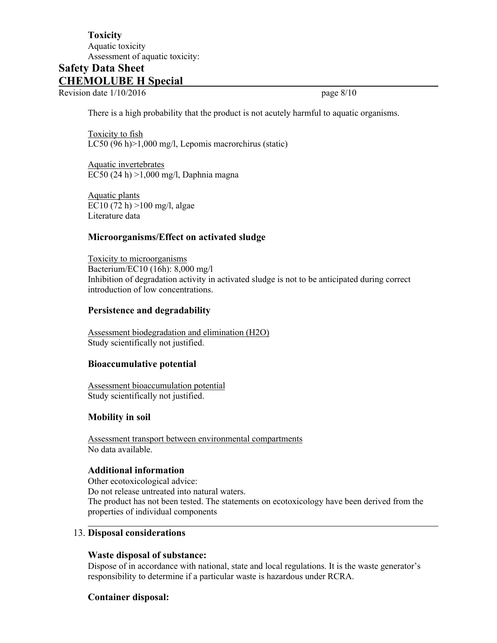# **Toxicity** Aquatic toxicity Assessment of aquatic toxicity:

# **Safety Data Sheet CHEMOLUBE H Special**

Revision date  $1/10/2016$  page 8/10

There is a high probability that the product is not acutely harmful to aquatic organisms.

Toxicity to fish LC50 (96 h)>1,000 mg/l, Lepomis macrorchirus (static)

Aquatic invertebrates EC50 (24 h) >1,000 mg/l, Daphnia magna

Aquatic plants EC10 (72 h) >100 mg/l, algae Literature data

# **Microorganisms/Effect on activated sludge**

Toxicity to microorganisms Bacterium/EC10 (16h): 8,000 mg/l Inhibition of degradation activity in activated sludge is not to be anticipated during correct introduction of low concentrations.

# **Persistence and degradability**

Assessment biodegradation and elimination (H2O) Study scientifically not justified.

# **Bioaccumulative potential**

Assessment bioaccumulation potential Study scientifically not justified.

# **Mobility in soil**

Assessment transport between environmental compartments No data available.

# **Additional information**

Other ecotoxicological advice: Do not release untreated into natural waters. The product has not been tested. The statements on ecotoxicology have been derived from the properties of individual components

## 13. **Disposal considerations**

#### **Waste disposal of substance:**

Dispose of in accordance with national, state and local regulations. It is the waste generator's responsibility to determine if a particular waste is hazardous under RCRA.

# **Container disposal:**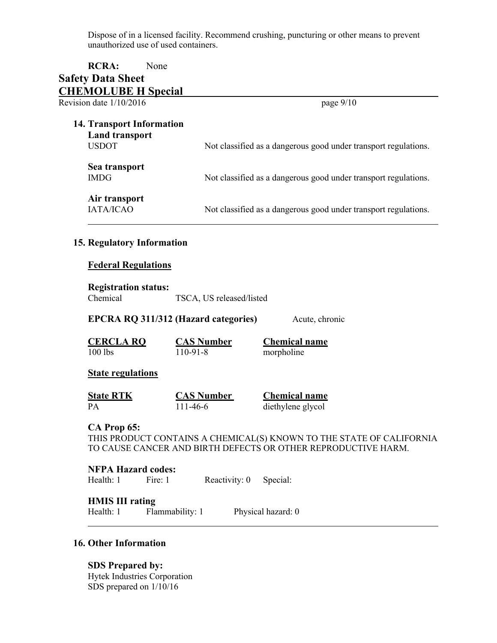Dispose of in a licensed facility. Recommend crushing, puncturing or other means to prevent unauthorized use of used containers.

# **RCRA:** None **Safety Data Sheet CHEMOLUBE H Special**  Revision date  $1/10/2016$  page 9/10 **14. Transport Information Land transport** USDOT Not classified as a dangerous good under transport regulations. **Sea transport** IMDG Not classified as a dangerous good under transport regulations. **Air transport** IATA/ICAO Not classified as a dangerous good under transport regulations.

#### **15. Regulatory Information**

#### **Federal Regulations**

#### **Registration status:**

Chemical TSCA, US released/listed

**EPCRA RQ 311/312 (Hazard categories)** Acute, chronic

**CERCLA RQ CAS Number Chemical name** 100 lbs 110-91-8 morpholine

#### **State regulations**

| <b>State RTK</b> | <b>CAS Number</b> | <b>Chemical name</b> |
|------------------|-------------------|----------------------|
| PА               | 111-46-6          | diethylene glycol    |

#### **CA Prop 65:**

THIS PRODUCT CONTAINS A CHEMICAL(S) KNOWN TO THE STATE OF CALIFORNIA TO CAUSE CANCER AND BIRTH DEFECTS OR OTHER REPRODUCTIVE HARM.

#### **NFPA Hazard codes:**

Health: 1 Fire: 1 Reactivity: 0 Special:

# **HMIS III rating**

Health: 1 Flammability: 1 Physical hazard: 0

#### **16. Other Information**

**SDS Prepared by:** Hytek Industries Corporation SDS prepared on 1/10/16